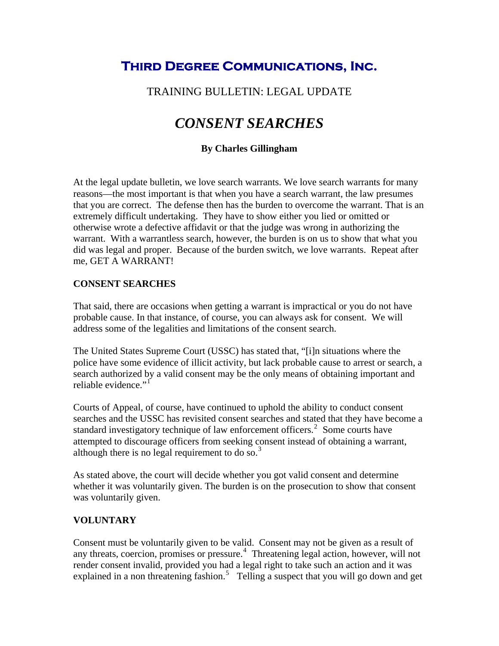## **Third Degree Communications, Inc.**

## TRAINING BULLETIN: LEGAL UPDATE

# *CONSENT SEARCHES*

#### **By Charles Gillingham**

At the legal update bulletin, we love search warrants. We love search warrants for many reasons—the most important is that when you have a search warrant, the law presumes that you are correct. The defense then has the burden to overcome the warrant. That is an extremely difficult undertaking. They have to show either you lied or omitted or otherwise wrote a defective affidavit or that the judge was wrong in authorizing the warrant. With a warrantless search, however, the burden is on us to show that what you did was legal and proper. Because of the burden switch, we love warrants. Repeat after me, GET A WARRANT!

#### **CONSENT SEARCHES**

That said, there are occasions when getting a warrant is impractical or you do not have probable cause. In that instance, of course, you can always ask for consent. We will address some of the legalities and limitations of the consent search.

The United States Supreme Court (USSC) has stated that, "[i]n situations where the police have some evidence of illicit activity, but lack probable cause to arrest or search, a search authorized by a valid consent may be the only means of obtaining important and reliable evidence."<sup>[1](#page-2-0)</sup>

Courts of Appeal, of course, have continued to uphold the ability to conduct consent searches and the USSC has revisited consent searches and stated that they have become a standard investigatory technique of law enforcement officers.<sup>[2](#page-2-1)</sup> Some courts have attempted to discourage officers from seeking consent instead of obtaining a warrant, although there is no legal requirement to do so.<sup>[3](#page-2-1)</sup>

As stated above, the court will decide whether you got valid consent and determine whether it was voluntarily given. The burden is on the prosecution to show that consent was voluntarily given.

#### **VOLUNTARY**

Consent must be voluntarily given to be valid. Consent may not be given as a result of any threats, coercion, promises or pressure.<sup>[4](#page-2-1)</sup> Threatening legal action, however, will not render consent invalid, provided you had a legal right to take such an action and it was explained in a non threatening fashion.<sup>[5](#page-2-1)</sup> Telling a suspect that you will go down and get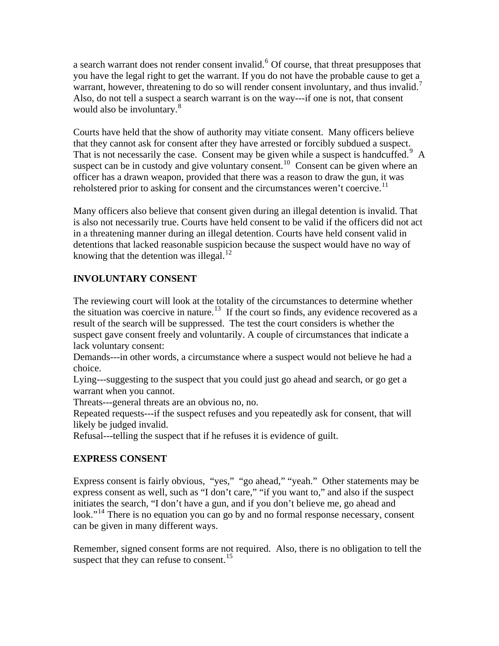a search warrant does not render consent invalid.<sup>[6](#page-2-1)</sup> Of course, that threat presupposes that you have the legal right to get the warrant. If you do not have the probable cause to get a warrant, however, threatening to do so will render consent involuntary, and thus invalid.<sup>[7](#page-2-1)</sup> Also, do not tell a suspect a search warrant is on the way---if one is not, that consent would also be involuntary.<sup>[8](#page-2-1)</sup>

Courts have held that the show of authority may vitiate consent. Many officers believe that they cannot ask for consent after they have arrested or forcibly subdued a suspect. That is not necessarily the case. Consent may be given while a suspect is handcuffed.<sup>[9](#page-2-1)</sup> A suspect can be in custody and give voluntary consent.<sup>[10](#page-2-1)</sup> Consent can be given where an officer has a drawn weapon, provided that there was a reason to draw the gun, it was reholstered prior to asking for consent and the circumstances weren't coercive.<sup>[11](#page-2-1)</sup>

Many officers also believe that consent given during an illegal detention is invalid. That is also not necessarily true. Courts have held consent to be valid if the officers did not act in a threatening manner during an illegal detention. Courts have held consent valid in detentions that lacked reasonable suspicion because the suspect would have no way of knowing that the detention was illegal. $^{12}$  $^{12}$  $^{12}$ 

#### **INVOLUNTARY CONSENT**

The reviewing court will look at the totality of the circumstances to determine whether the situation was coercive in nature.<sup>[13](#page-2-1)</sup> If the court so finds, any evidence recovered as a result of the search will be suppressed. The test the court considers is whether the suspect gave consent freely and voluntarily. A couple of circumstances that indicate a lack voluntary consent:

Demands---in other words, a circumstance where a suspect would not believe he had a choice.

Lying---suggesting to the suspect that you could just go ahead and search, or go get a warrant when you cannot.

Threats---general threats are an obvious no, no.

Repeated requests---if the suspect refuses and you repeatedly ask for consent, that will likely be judged invalid.

Refusal---telling the suspect that if he refuses it is evidence of guilt.

#### **EXPRESS CONSENT**

Express consent is fairly obvious, "yes," "go ahead," "yeah." Other statements may be express consent as well, such as "I don't care," "if you want to," and also if the suspect initiates the search, "I don't have a gun, and if you don't believe me, go ahead and look."<sup>[14](#page-2-1)</sup> There is no equation you can go by and no formal response necessary, consent can be given in many different ways.

Remember, signed consent forms are not required. Also, there is no obligation to tell the suspect that they can refuse to consent.<sup>[15](#page-2-1)</sup>